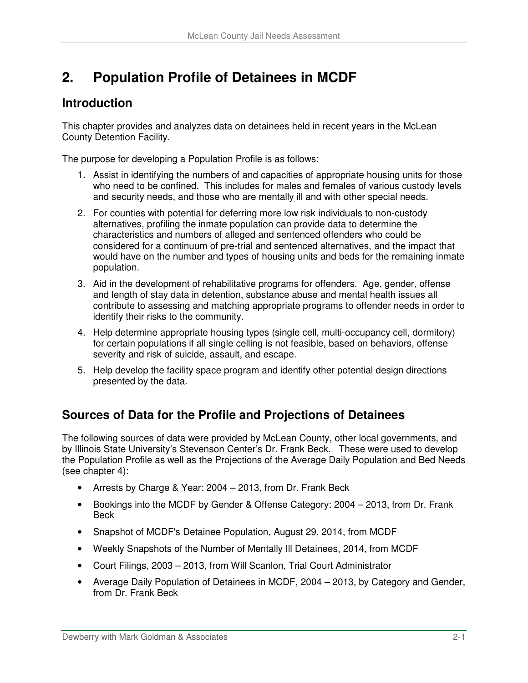# **2. Population Profile of Detainees in MCDF**

### **Introduction**

This chapter provides and analyzes data on detainees held in recent years in the McLean County Detention Facility.

The purpose for developing a Population Profile is as follows:

- 1. Assist in identifying the numbers of and capacities of appropriate housing units for those who need to be confined. This includes for males and females of various custody levels and security needs, and those who are mentally ill and with other special needs.
- 2. For counties with potential for deferring more low risk individuals to non-custody alternatives, profiling the inmate population can provide data to determine the characteristics and numbers of alleged and sentenced offenders who could be considered for a continuum of pre-trial and sentenced alternatives, and the impact that would have on the number and types of housing units and beds for the remaining inmate population.
- 3. Aid in the development of rehabilitative programs for offenders. Age, gender, offense and length of stay data in detention, substance abuse and mental health issues all contribute to assessing and matching appropriate programs to offender needs in order to identify their risks to the community.
- 4. Help determine appropriate housing types (single cell, multi-occupancy cell, dormitory) for certain populations if all single celling is not feasible, based on behaviors, offense severity and risk of suicide, assault, and escape.
- 5. Help develop the facility space program and identify other potential design directions presented by the data.

# **Sources of Data for the Profile and Projections of Detainees**

The following sources of data were provided by McLean County, other local governments, and by Illinois State University's Stevenson Center's Dr. Frank Beck. These were used to develop the Population Profile as well as the Projections of the Average Daily Population and Bed Needs (see chapter 4):

- Arrests by Charge & Year: 2004 2013, from Dr. Frank Beck
- Bookings into the MCDF by Gender & Offense Category: 2004 2013, from Dr. Frank Beck
- Snapshot of MCDF's Detainee Population, August 29, 2014, from MCDF
- Weekly Snapshots of the Number of Mentally Ill Detainees, 2014, from MCDF
- Court Filings, 2003 2013, from Will Scanlon, Trial Court Administrator
- Average Daily Population of Detainees in MCDF, 2004 2013, by Category and Gender, from Dr. Frank Beck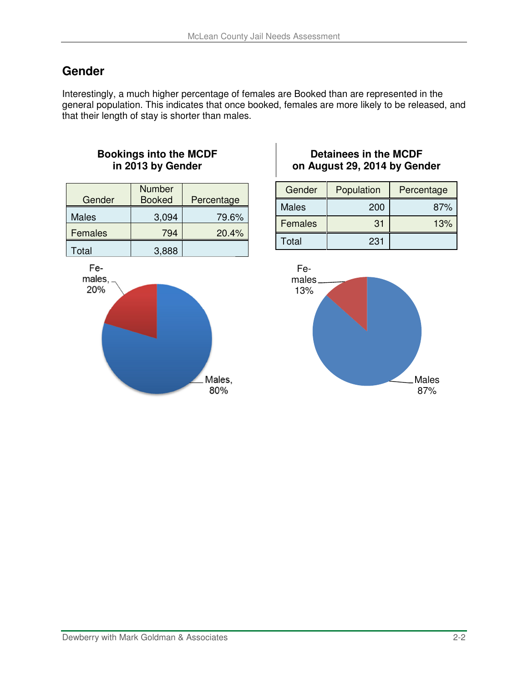# **Gender**

Interestingly, a much higher percentage of females are Booked than are represented in the general population. This indicates that once booked, females are more likely to be released, and that their length of stay is shorter than males.

### **Bookings into the MCDF in 2013 by Gender**

| Gender       | <b>Number</b><br><b>Booked</b> | Percentage |
|--------------|--------------------------------|------------|
| <b>Males</b> | 3,094                          | 79.6%      |
| Females      | 794                            | 20.4%      |
| Total        | 3,888                          |            |



### **Detainees in the MCDF on August 29, 2014 by Gender**

| Gender       | Population | Percentage |
|--------------|------------|------------|
| <b>Males</b> | 200        | 87%        |
| Females      | 31         | 13%        |
| Total        | 231        |            |

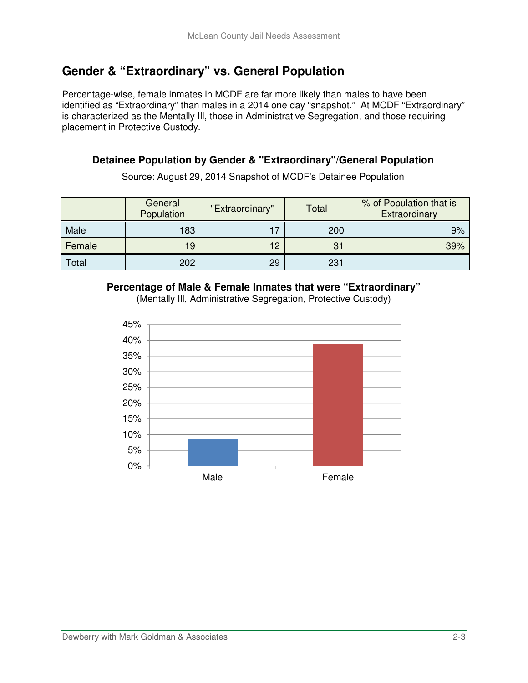# **Gender & "Extraordinary" vs. General Population**

Percentage-wise, female inmates in MCDF are far more likely than males to have been identified as "Extraordinary" than males in a 2014 one day "snapshot." At MCDF "Extraordinary" is characterized as the Mentally Ill, those in Administrative Segregation, and those requiring placement in Protective Custody.

### **Detainee Population by Gender & "Extraordinary"/General Population**

Source: August 29, 2014 Snapshot of MCDF's Detainee Population

|        | General<br>Population | "Extraordinary" | Total | % of Population that is<br>Extraordinary |
|--------|-----------------------|-----------------|-------|------------------------------------------|
| Male   | 183                   |                 | 200   | 9%                                       |
| Female | 19                    | 12              | 31    | 39%                                      |
| Total  | 202                   | 29              | 231   |                                          |

#### **Percentage of Male & Female Inmates that were "Extraordinary"**

0% 5% 10% 15% 20% 25% 30% 35% 40% 45% Male **Female** 

(Mentally Ill, Administrative Segregation, Protective Custody)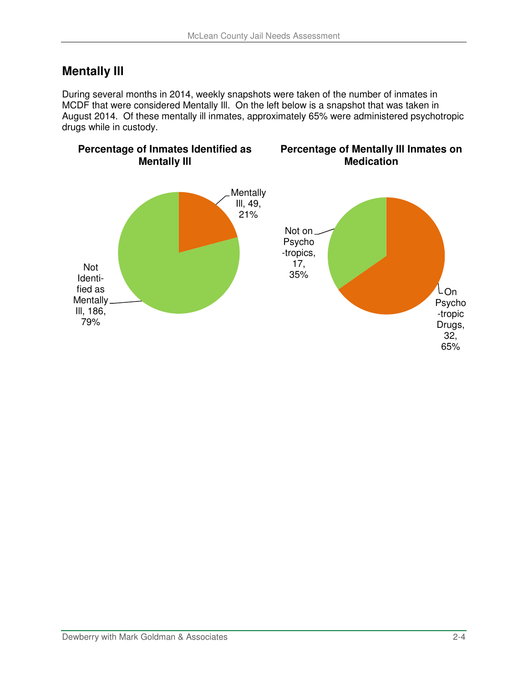# **Mentally Ill**

During several months in 2014, weekly snapshots were taken of the number of inmates in MCDF that were considered Mentally Ill. On the left below is a snapshot that was taken in August 2014. Of these mentally ill inmates, approximately 65% were administered psychotropic drugs while in custody.